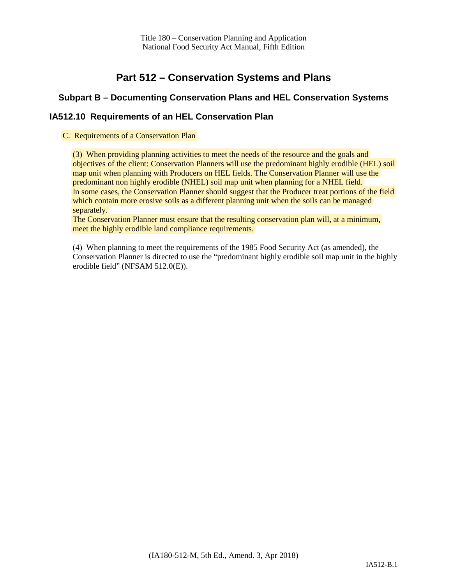Title 180 – Conservation Planning and Application National Food Security Act Manual, Fifth Edition

# **Part 512 – Conservation Systems and Plans**

## **Subpart B – Documenting Conservation Plans and HEL Conservation Systems**

## **IA512.10 Requirements of an HEL Conservation Plan**

#### C. Requirements of a Conservation Plan

(3) When providing planning activities to meet the needs of the resource and the goals and objectives of the client: Conservation Planners will use the predominant highly erodible (HEL) soil map unit when planning with Producers on HEL fields. The Conservation Planner will use the predominant non highly erodible (NHEL) soil map unit when planning for a NHEL field. In some cases, the Conservation Planner should suggest that the Producer treat portions of the field which contain more erosive soils as a different planning unit when the soils can be managed separately.

The Conservation Planner must ensure that the resulting conservation plan will**,** at a minimum**,** meet the highly erodible land compliance requirements.

(4) When planning to meet the requirements of the 1985 Food Security Act (as amended), the Conservation Planner is directed to use the "predominant highly erodible soil map unit in the highly erodible field" (NFSAM 512.0(E)).